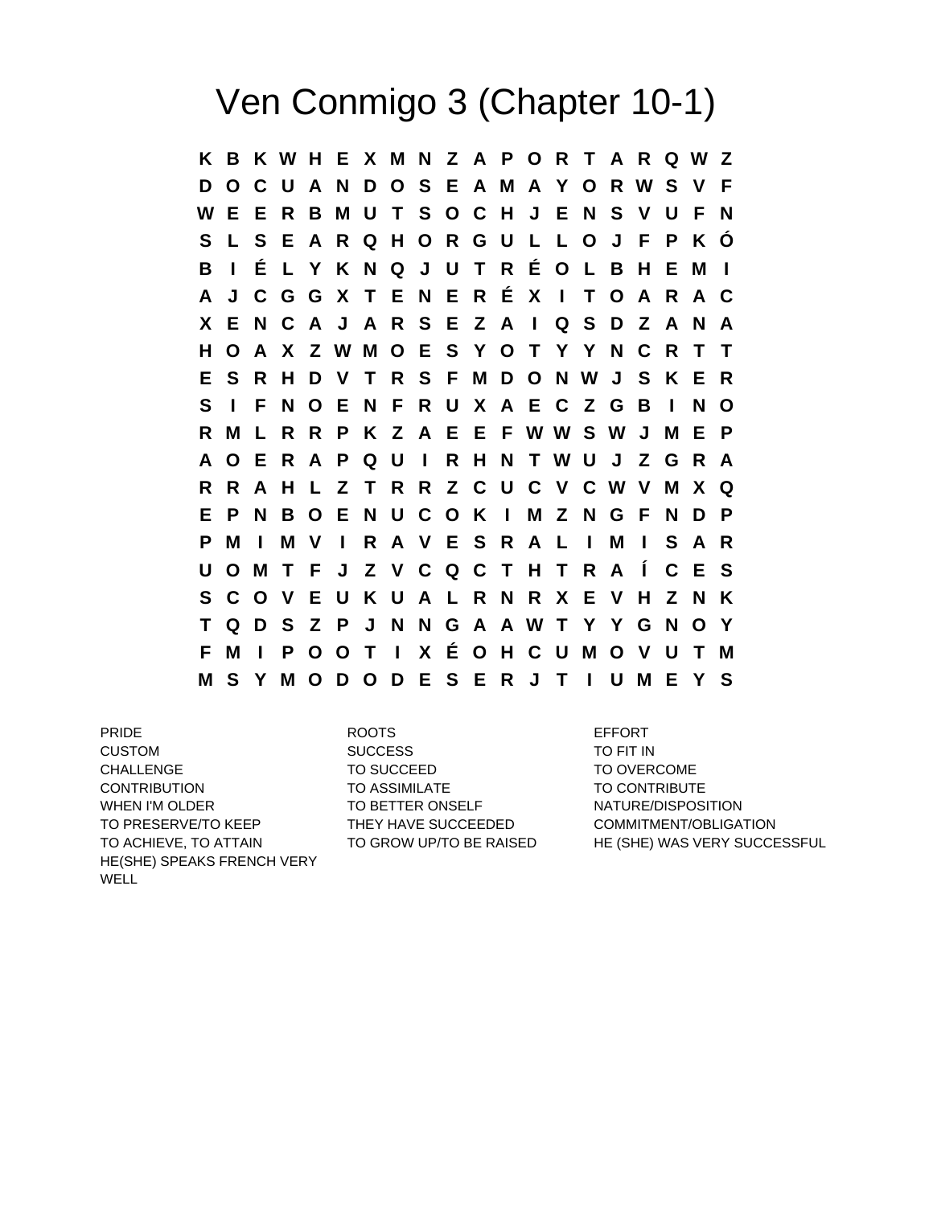## Ven Conmigo 3 (Chapter 10-1)

**K B K W H E X M N Z A P O R T A R Q W Z D O C U A N D O S E A M A Y O R W S V F W E E R B M U T S O C H J E N S V U F N S L S E A R Q H O R G U L L O J F P K Ó B I É L Y K N Q J U T R É O L B H E M I A J C G G X T E N E R É X I T O A R A C X E N C A J A R S E Z A I Q S D Z A N A H O A X Z W M O E S Y O T Y Y N C R T T E S R H D V T R S F M D O N W J S K E R S I F N O E N F R U X A E C Z G B I N O R M L R R P K Z A E E F W W S W J M E P A O E R A P Q U I R H N T W U J Z G R A R R A H L Z T R R Z C U C V C W V M X Q E P N B O E N U C O K I M Z N G F N D P P M I M V I R A V E S R A L I M I S A R U O M T F J Z V C Q C T H T R A Í C E S S C O V E U K U A L R N R X E V H Z N K T Q D S Z P J N N G A A W T Y Y G N O Y F M I P O O T I X É O H C U M O V U T M M S Y M O D O D E S E R J T I U M E Y S**

PRIDE **EXAMPLE 2008 ROOTS** ROOTS **EXAMPLE 2008** CUSTOM SUCCESS TO FIT IN CHALLENGE TO SUCCEED TO SUCCEED TO OVERCOME CONTRIBUTION TO ASSIMILATE TO CONTRIBUTE WHEN I'M OLDER TO BETTER ONSELF NATURE/DISPOSITION TO PRESERVE/TO KEEP THEY HAVE SUCCEEDED COMMITMENT/OBLIGATION HE(SHE) SPEAKS FRENCH VERY WELL

TO ACHIEVE, TO ATTAIN TO GROW UP/TO BE RAISED HE (SHE) WAS VERY SUCCESSFUL